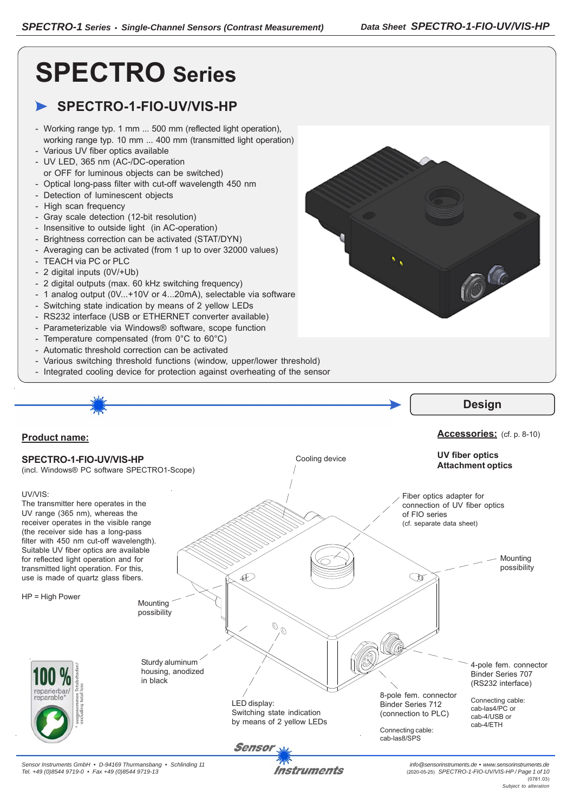C

# **SPECTRO Series**

# **SPECTRO-1-FIO-UV/VIS-HP**

- Working range typ. 1 mm ... 500 mm (reflected light operation), working range typ. 10 mm ... 400 mm (transmitted light operation)
- Various UV fiber optics available
- UV LED, 365 nm (AC-/DC-operation
- or OFF for luminous objects can be switched)
- Optical long-pass filter with cut-off wavelength 450 nm
- Detection of luminescent objects
- High scan frequency
- Gray scale detection (12-bit resolution)
- Insensitive to outside light (in AC-operation)
- Brightness correction can be activated (STAT/DYN)
- Averaging can be activated (from 1 up to over 32000 values)
- TEACH via PC or PLC
- 2 digital inputs (0V/+Ub)
- 2 digital outputs (max. 60 kHz switching frequency)
- 1 analog output (0V...+10V or 4...20mA), selectable via software
- Switching state indication by means of 2 yellow LEDs
- RS232 interface (USB or ETHERNET converter available)
- Parameterizable via Windows® software, scope function
- Temperature compensated (from 0°C to 60°C)
- Automatic threshold correction can be activated
- Various switching threshold functions (window, upper/lower threshold)
- Integrated cooling device for protection against overheating of the sensor

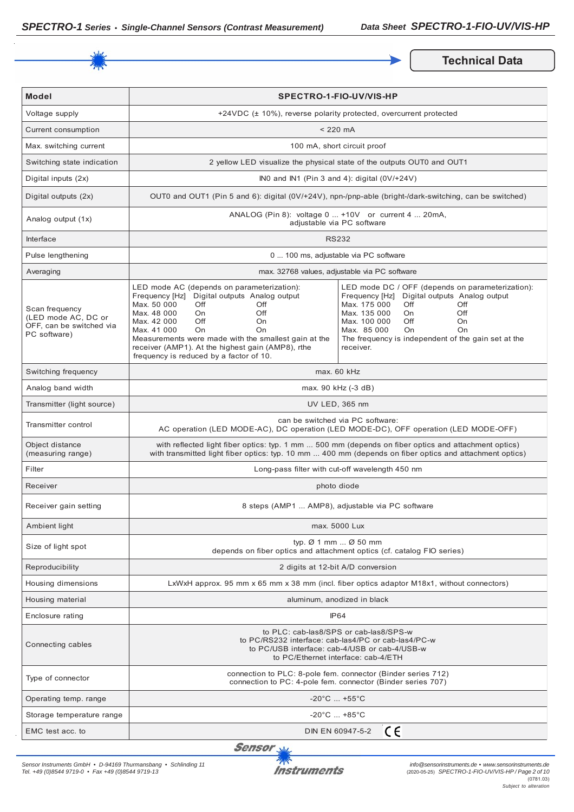

**Technical Data** 

| <b>Model</b>                                                                      | <b>SPECTRO-1-FIO-UV/VIS-HP</b>                                                                                                                                                                                                                                                                                                                                     |                                                                                                                                                                                                                                                                                          |  |
|-----------------------------------------------------------------------------------|--------------------------------------------------------------------------------------------------------------------------------------------------------------------------------------------------------------------------------------------------------------------------------------------------------------------------------------------------------------------|------------------------------------------------------------------------------------------------------------------------------------------------------------------------------------------------------------------------------------------------------------------------------------------|--|
| Voltage supply                                                                    | +24VDC (± 10%), reverse polarity protected, overcurrent protected                                                                                                                                                                                                                                                                                                  |                                                                                                                                                                                                                                                                                          |  |
| Current consumption                                                               | $< 220$ mA                                                                                                                                                                                                                                                                                                                                                         |                                                                                                                                                                                                                                                                                          |  |
| Max. switching current                                                            |                                                                                                                                                                                                                                                                                                                                                                    | 100 mA, short circuit proof                                                                                                                                                                                                                                                              |  |
| Switching state indication                                                        |                                                                                                                                                                                                                                                                                                                                                                    | 2 yellow LED visualize the physical state of the outputs OUT0 and OUT1                                                                                                                                                                                                                   |  |
| Digital inputs (2x)                                                               |                                                                                                                                                                                                                                                                                                                                                                    | INO and IN1 (Pin 3 and 4): digital (0V/+24V)                                                                                                                                                                                                                                             |  |
| Digital outputs (2x)                                                              | OUT0 and OUT1 (Pin 5 and 6): digital (0V/+24V), npn-/pnp-able (bright-/dark-switching, can be switched)                                                                                                                                                                                                                                                            |                                                                                                                                                                                                                                                                                          |  |
| Analog output (1x)                                                                | ANALOG (Pin 8): voltage 0  +10V or current 4  20mA,<br>adjustable via PC software                                                                                                                                                                                                                                                                                  |                                                                                                                                                                                                                                                                                          |  |
| <b>Interface</b>                                                                  | <b>RS232</b>                                                                                                                                                                                                                                                                                                                                                       |                                                                                                                                                                                                                                                                                          |  |
| Pulse lengthening                                                                 | 0  100 ms, adjustable via PC software                                                                                                                                                                                                                                                                                                                              |                                                                                                                                                                                                                                                                                          |  |
| Averaging                                                                         | max. 32768 values, adjustable via PC software                                                                                                                                                                                                                                                                                                                      |                                                                                                                                                                                                                                                                                          |  |
| Scan frequency<br>(LED mode AC, DC or<br>OFF, can be switched via<br>PC software) | LED mode AC (depends on parameterization):<br>Frequency [Hz] Digital outputs Analog output<br>Max. 50 000<br>Off<br>Off<br>Max. 48 000<br>On<br>Off<br>Max. 42 000<br>Off<br>On<br>Max. 41 000<br>On<br>On<br>Measurements were made with the smallest gain at the<br>receiver (AMP1). At the highest gain (AMP8), rthe<br>frequency is reduced by a factor of 10. | LED mode DC / OFF (depends on parameterization):<br>Frequency [Hz] Digital outputs Analog output<br>Max. 175 000<br>Off<br>Off<br>Max. 135 000<br>Off<br>On.<br>Max. 100 000<br>Off<br>On<br>Max. 85 000<br>On<br>On<br>The frequency is independent of the gain set at the<br>receiver. |  |
| Switching frequency                                                               | max. 60 kHz                                                                                                                                                                                                                                                                                                                                                        |                                                                                                                                                                                                                                                                                          |  |
| Analog band width                                                                 | max. 90 kHz (-3 dB)                                                                                                                                                                                                                                                                                                                                                |                                                                                                                                                                                                                                                                                          |  |
| Transmitter (light source)                                                        | UV LED, 365 nm                                                                                                                                                                                                                                                                                                                                                     |                                                                                                                                                                                                                                                                                          |  |
| Transmitter control                                                               | can be switched via PC software:<br>AC operation (LED MODE-AC), DC operation (LED MODE-DC), OFF operation (LED MODE-OFF)                                                                                                                                                                                                                                           |                                                                                                                                                                                                                                                                                          |  |
| Object distance<br>(measuring range)                                              | with reflected light fiber optics: typ. 1 mm  500 mm (depends on fiber optics and attachment optics)<br>with transmitted light fiber optics: typ. 10 mm  400 mm (depends on fiber optics and attachment optics)                                                                                                                                                    |                                                                                                                                                                                                                                                                                          |  |
| Filter                                                                            | Long-pass filter with cut-off wavelength 450 nm                                                                                                                                                                                                                                                                                                                    |                                                                                                                                                                                                                                                                                          |  |
| Receiver                                                                          | photo diode                                                                                                                                                                                                                                                                                                                                                        |                                                                                                                                                                                                                                                                                          |  |
| Receiver gain setting                                                             | 8 steps (AMP1  AMP8), adjustable via PC software                                                                                                                                                                                                                                                                                                                   |                                                                                                                                                                                                                                                                                          |  |
| Ambient light                                                                     | max. 5000 Lux                                                                                                                                                                                                                                                                                                                                                      |                                                                                                                                                                                                                                                                                          |  |
| Size of light spot                                                                | typ. $\varnothing$ 1 mm $\varnothing$ 50 mm<br>depends on fiber optics and attachment optics (cf. catalog FIO series)                                                                                                                                                                                                                                              |                                                                                                                                                                                                                                                                                          |  |
| Reproducibility                                                                   | 2 digits at 12-bit A/D conversion                                                                                                                                                                                                                                                                                                                                  |                                                                                                                                                                                                                                                                                          |  |
| Housing dimensions                                                                | LxWxH approx. 95 mm x 65 mm x 38 mm (incl. fiber optics adaptor M18x1, without connectors)                                                                                                                                                                                                                                                                         |                                                                                                                                                                                                                                                                                          |  |
| Housing material                                                                  | aluminum, anodized in black                                                                                                                                                                                                                                                                                                                                        |                                                                                                                                                                                                                                                                                          |  |
| Enclosure rating                                                                  | IP <sub>64</sub>                                                                                                                                                                                                                                                                                                                                                   |                                                                                                                                                                                                                                                                                          |  |
| Connecting cables                                                                 | to PLC: cab-las8/SPS or cab-las8/SPS-w<br>to PC/RS232 interface: cab-las4/PC or cab-las4/PC-w<br>to PC/USB interface: cab-4/USB or cab-4/USB-w<br>to PC/Ethernet interface: cab-4/ETH                                                                                                                                                                              |                                                                                                                                                                                                                                                                                          |  |
| Type of connector                                                                 | connection to PLC: 8-pole fem. connector (Binder series 712)<br>connection to PC: 4-pole fem. connector (Binder series 707)                                                                                                                                                                                                                                        |                                                                                                                                                                                                                                                                                          |  |
| Operating temp. range                                                             | $-20^{\circ}$ C $+55^{\circ}$ C                                                                                                                                                                                                                                                                                                                                    |                                                                                                                                                                                                                                                                                          |  |
| Storage temperature range                                                         | $-20^{\circ}$ C $$ +85 $^{\circ}$ C                                                                                                                                                                                                                                                                                                                                |                                                                                                                                                                                                                                                                                          |  |
| EMC test acc. to                                                                  | CE<br>DIN EN 60947-5-2                                                                                                                                                                                                                                                                                                                                             |                                                                                                                                                                                                                                                                                          |  |

Sensor<sub>N</sub>

*Sensor Instruments GmbH • D-94169 Thurmansbang • Schlinding 11 Tel. +49 (0)8544 9719-0 • Fax +49 (0)8544 9719-13*

**Instruments**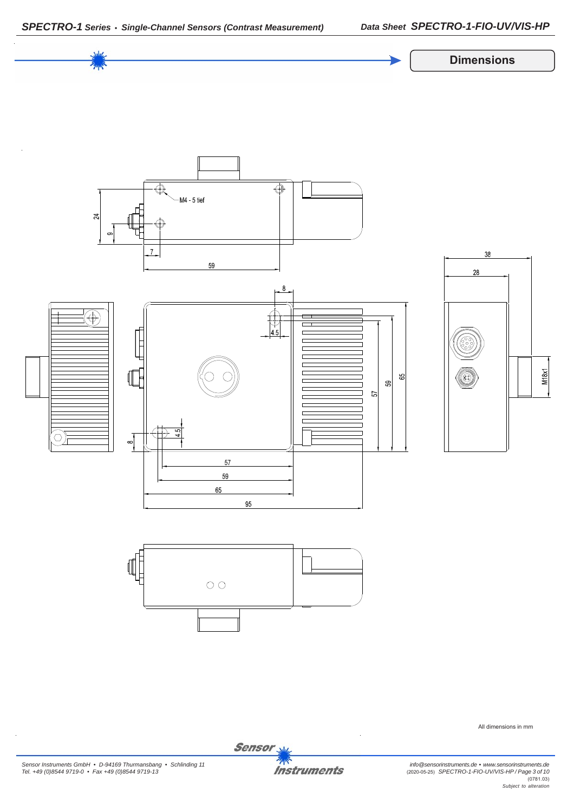

All dimensions in mm

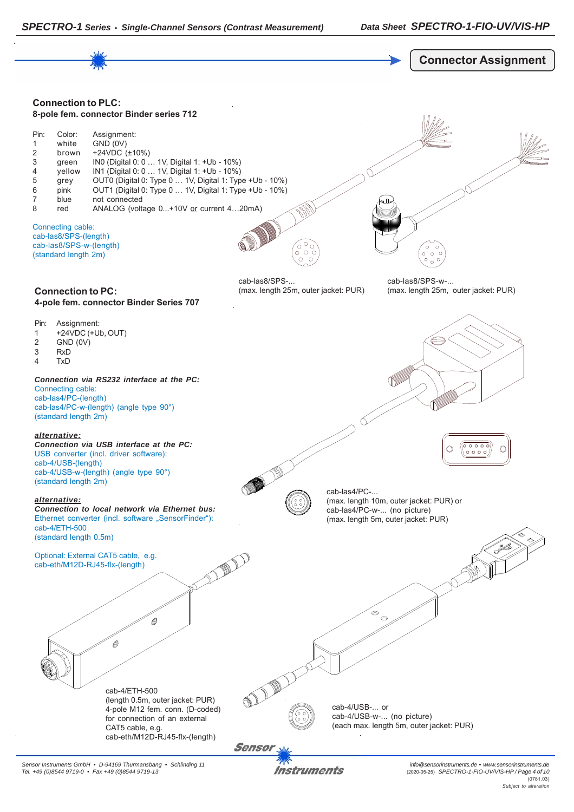



*Sensor Instruments GmbH • D-94169 Thurmansbang • Schlinding 11 Tel. +49 (0)8544 9719-0 • Fax +49 (0)8544 9719-13*

Instruments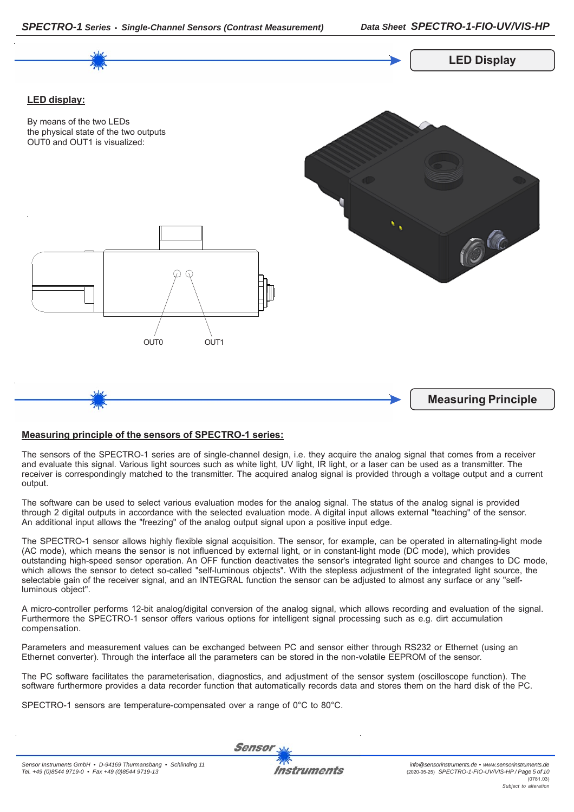



## **Measuring principle of the sensors of SPECTRO-1 series:**

The sensors of the SPECTRO-1 series are of single-channel design, i.e. they acquire the analog signal that comes from a receiver and evaluate this signal. Various light sources such as white light, UV light, IR light, or a laser can be used as a transmitter. The receiver is correspondingly matched to the transmitter. The acquired analog signal is provided through a voltage output and a current output.

The software can be used to select various evaluation modes for the analog signal. The status of the analog signal is provided through 2 digital outputs in accordance with the selected evaluation mode. A digital input allows external "teaching" of the sensor. An additional input allows the "freezing" of the analog output signal upon a positive input edge.

The SPECTRO-1 sensor allows highly flexible signal acquisition. The sensor, for example, can be operated in alternating-light mode (AC mode), which means the sensor is not influenced by external light, or in constant-light mode (DC mode), which provides outstanding high-speed sensor operation. An OFF function deactivates the sensor's integrated light source and changes to DC mode, which allows the sensor to detect so-called "self-luminous objects". With the stepless adjustment of the integrated light source, the selectable gain of the receiver signal, and an INTEGRAL function the sensor can be adjusted to almost any surface or any "selfluminous object".

A micro-controller performs 12-bit analog/digital conversion of the analog signal, which allows recording and evaluation of the signal. Furthermore the SPECTRO-1 sensor offers various options for intelligent signal processing such as e.g. dirt accumulation compensation.

Parameters and measurement values can be exchanged between PC and sensor either through RS232 or Ethernet (using an Ethernet converter). Through the interface all the parameters can be stored in the non-volatile EEPROM of the sensor.

The PC software facilitates the parameterisation, diagnostics, and adjustment of the sensor system (oscilloscope function). The software furthermore provides a data recorder function that automatically records data and stores them on the hard disk of the PC.

SPECTRO-1 sensors are temperature-compensated over a range of 0°C to 80°C.

**Sensor**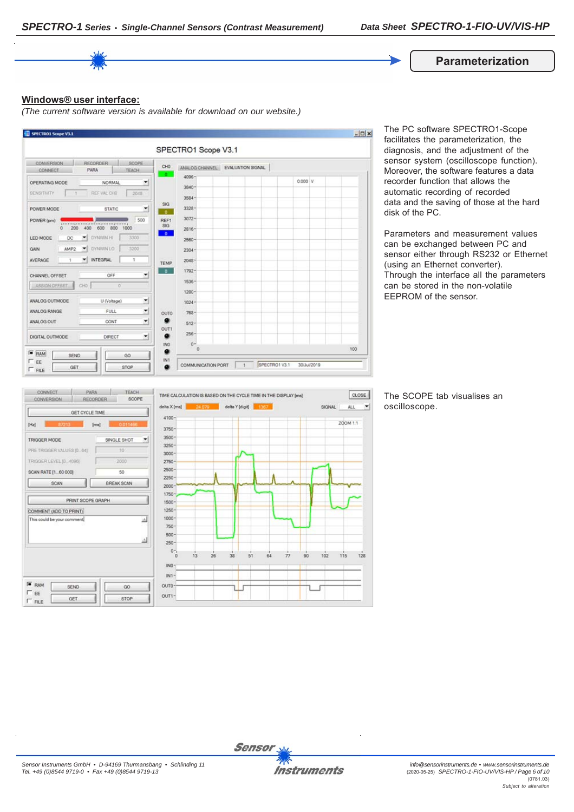#### **Parameterization**

#### **Windows® user interface:**

*(The current software version is available for download on our website.)*



The PC software SPECTRO1-Scope facilitates the parameterization, the diagnosis, and the adjustment of the sensor system (oscilloscope function). Moreover, the software features a data recorder function that allows the automatic recording of recorded data and the saving of those at the hard disk of the PC.

Parameters and measurement values can be exchanged between PC and sensor either through RS232 or Ethernet (using an Ethernet converter). Through the interface all the parameters can be stored in the non-volatile EEPROM of the sensor.



The SCOPE tab visualises an oscilloscope.

 $\left| \cdot \right|$ 

 $128$ 



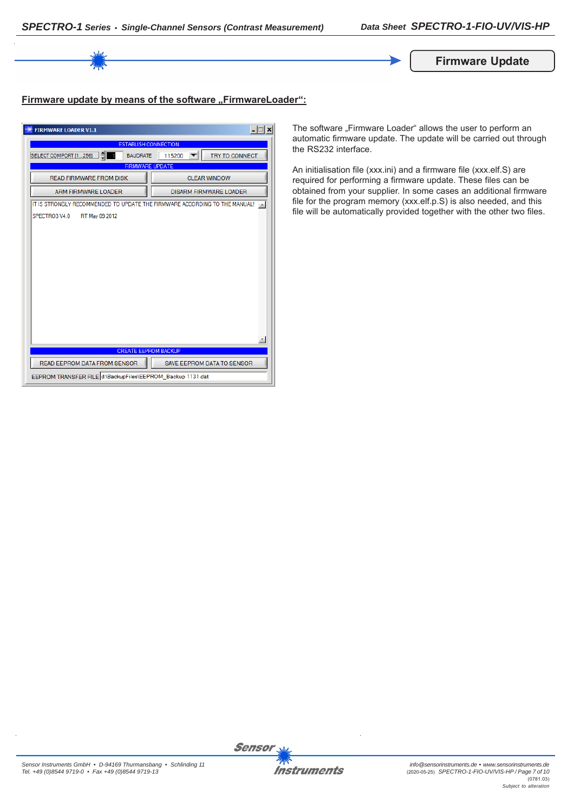

# **Firmware update by means of the software "FirmwareLoader":**

| $ \Box$ $\times$<br><b>FIRMWARE LOADER V1.1</b>                            |                                   |  |  |
|----------------------------------------------------------------------------|-----------------------------------|--|--|
| <b>ESTABLISH CONNECTION</b>                                                |                                   |  |  |
| SELECT COMPORT [1256]<br><b>BAUDRATE</b>                                   | <b>TRY TO CONNECT</b><br>115200   |  |  |
| <b>FIRMWARE UPDATE</b>                                                     |                                   |  |  |
| <b>READ FIRMWARE FROM DISK</b>                                             | <b>CLEAR WINDOW</b>               |  |  |
| <b>ARM FIRMWARE LOADER</b>                                                 | <b>DISARM FIRMWARE LOADER</b>     |  |  |
| IT IS STRONGLY RECOMMENDED TO UPDATE THE FIRMWARE ACCORDING TO THE MANUAL! |                                   |  |  |
| SPECTRO3 V4.0<br>RT May 09 2012                                            |                                   |  |  |
|                                                                            |                                   |  |  |
|                                                                            |                                   |  |  |
|                                                                            |                                   |  |  |
|                                                                            |                                   |  |  |
|                                                                            |                                   |  |  |
|                                                                            |                                   |  |  |
|                                                                            |                                   |  |  |
|                                                                            |                                   |  |  |
|                                                                            |                                   |  |  |
|                                                                            |                                   |  |  |
|                                                                            |                                   |  |  |
| <b>CREATE EEPROM BACKUP</b>                                                |                                   |  |  |
| READ EEPROM DATA FROM SENSOR                                               | <b>SAVE EEPROM DATA TO SENSOR</b> |  |  |
| EEPROM TRANSFER FILE d:\BackupFiles\EEPROM_Backup 1131.dat                 |                                   |  |  |

The software "Firmware Loader" allows the user to perform an automatic firmware update. The update will be carried out through the RS232 interface.

An initialisation file (xxx.ini) and a firmware file (xxx.elf.S) are required for performing a firmware update. These files can be obtained from your supplier. In some cases an additional firmware file for the program memory (xxx.elf.p.S) is also needed, and this file will be automatically provided together with the other two files.

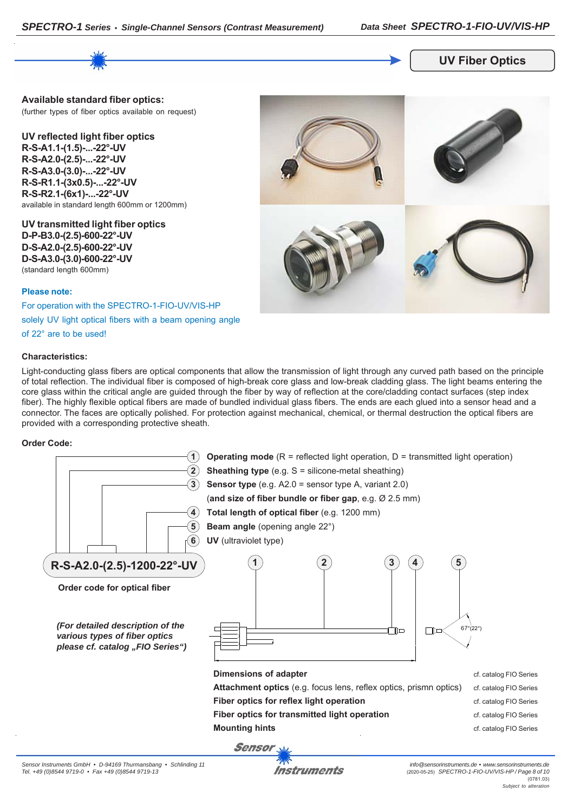

## **UV Fiber Optics**

**Available standard fiber optics:** (further types of fiber optics available on request)

**UV reflected light fiber optics R-S-A1.1-(1.5)-...-22°-UV R-S-A2.0-(2.5)-...-22°-UV R-S-A3.0-(3.0)-...-22°-UV R-S-R1.1-(3x0.5)-...-22°-UV R-S-R2.1-(6x1)-...-22°-UV** available in standard length 600mm or 1200mm)

**UV transmitted light fiber optics D-P-B3.0-(2.5)-600-22°-UV D-S-A2.0-(2.5)-600-22°-UV D-S-A3.0-(3.0)-600-22°-UV** (standard length 600mm)

#### **Please note:**

For operation with the SPECTRO-1-FIO-UV/VIS-HP

solely UV light optical fibers with a beam opening angle

of 22° are to be used!

#### **Characteristics:**



Light-conducting glass fibers are optical components that allow the transmission of light through any curved path based on the principle of total reflection. The individual fiber is composed of high-break core glass and low-break cladding glass. The light beams entering the core glass within the critical angle are guided through the fiber by way of reflection at the core/cladding contact surfaces (step index fiber). The highly flexible optical fibers are made of bundled individual glass fibers. The ends are each glued into a sensor head and a connector. The faces are optically polished. For protection against mechanical, chemical, or thermal destruction the optical fibers are provided with a corresponding protective sheath.

#### **Order Code:**



Instruments

*info@sensorinstruments.de • www.sensorinstruments.de* (2020-05-25) *SPECTRO-1-FIO-UV/VIS-HP / Page 8 of 10* (0781.03) *Subject to alteration*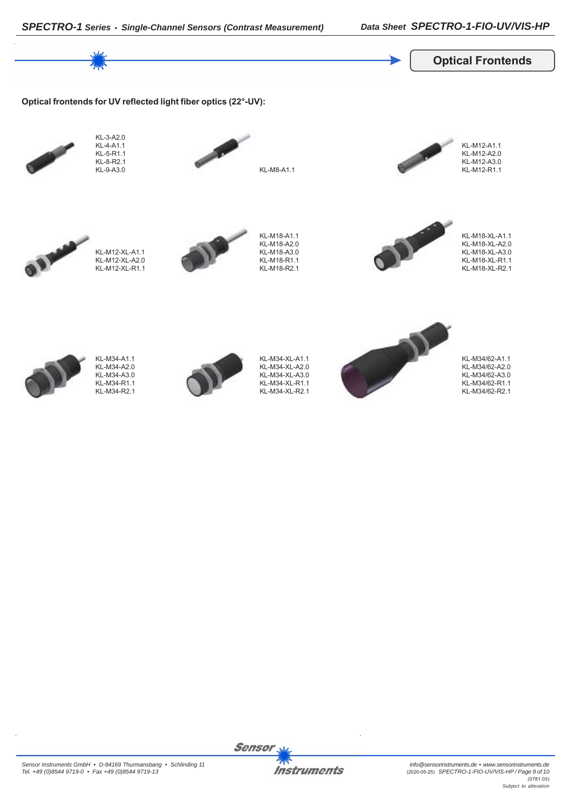